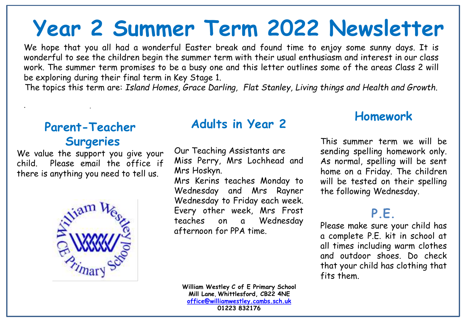# **Year 2 Summer Term 2022 Newsletter**

We hope that you all had a wonderful Easter break and found time to enjoy some sunny days. It is wonderful to see the children begin the summer term with their usual enthusiasm and interest in our class work. The summer term promises to be a busy one and this letter outlines some of the areas Class 2 will be exploring during their final term in Key Stage 1.

The topics this term are: *Island Homes, Grace Darling, Flat Stanley, Living things and Health and Growth.*

## **Parent-Teacher Surgeries**

. .

We value the support you give your child. Please email the office if there is anything you need to tell us.



## **Adults in Year 2**

Our Teaching Assistants are Miss Perry, Mrs Lochhead and Mrs Hoskyn.

Mrs Kerins teaches Monday to Wednesday and Mrs Rayner Wednesday to Friday each week. Every other week, Mrs Frost teaches on a Wednesday afternoon for PPA time.

#### **Homework**

This summer term we will be sending spelling homework only. As normal, spelling will be sent home on a Friday. The children will be tested on their spelling the following Wednesday.

## **P.E.**

Please make sure your child has a complete P.E. kit in school at all times including warm clothes and outdoor shoes. Do check that your child has clothing that fits them.

**William Westley C of E Primary School Mill Lane**, **Whittlesford, CB22 4NE [office@williamwestley.cambs.sch.uk](mailto:office@williamwestley.cambs.sch.uk) 01223 832176**